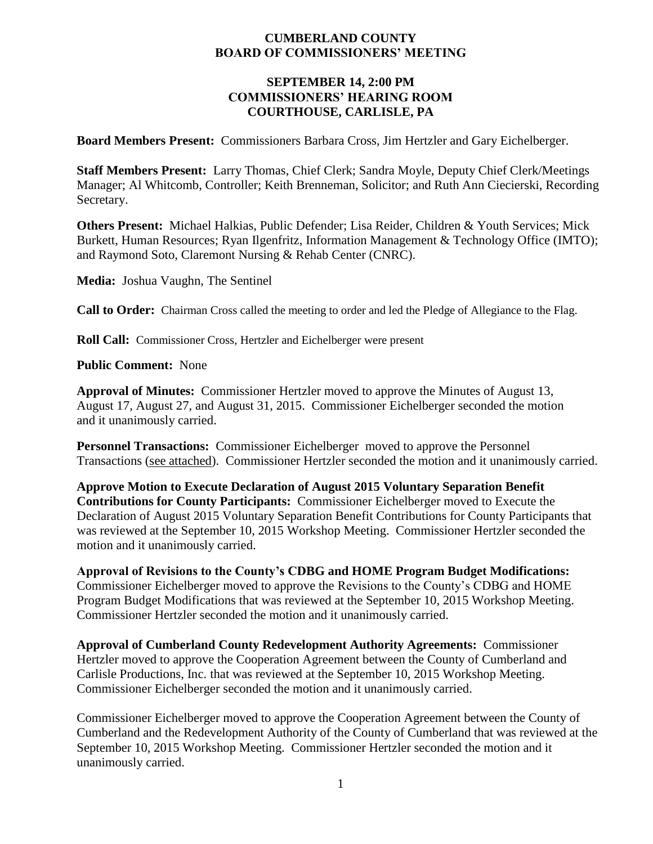#### **CUMBERLAND COUNTY BOARD OF COMMISSIONERS' MEETING**

#### **SEPTEMBER 14, 2:00 PM COMMISSIONERS' HEARING ROOM COURTHOUSE, CARLISLE, PA**

**Board Members Present:** Commissioners Barbara Cross, Jim Hertzler and Gary Eichelberger.

**Staff Members Present:** Larry Thomas, Chief Clerk; Sandra Moyle, Deputy Chief Clerk/Meetings Manager; Al Whitcomb, Controller; Keith Brenneman, Solicitor; and Ruth Ann Ciecierski, Recording Secretary.

**Others Present:** Michael Halkias, Public Defender; Lisa Reider, Children & Youth Services; Mick Burkett, Human Resources; Ryan Ilgenfritz, Information Management & Technology Office (IMTO); and Raymond Soto, Claremont Nursing & Rehab Center (CNRC).

**Media:** Joshua Vaughn, The Sentinel

**Call to Order:** Chairman Cross called the meeting to order and led the Pledge of Allegiance to the Flag.

**Roll Call:** Commissioner Cross, Hertzler and Eichelberger were present

**Public Comment:** None

**Approval of Minutes:** Commissioner Hertzler moved to approve the Minutes of August 13, August 17, August 27, and August 31, 2015. Commissioner Eichelberger seconded the motion and it unanimously carried.

**Personnel Transactions:** Commissioner Eichelberger moved to approve the Personnel Transactions (see attached). Commissioner Hertzler seconded the motion and it unanimously carried.

**Approve Motion to Execute Declaration of August 2015 Voluntary Separation Benefit Contributions for County Participants:** Commissioner Eichelberger moved to Execute the Declaration of August 2015 Voluntary Separation Benefit Contributions for County Participants that was reviewed at the September 10, 2015 Workshop Meeting. Commissioner Hertzler seconded the motion and it unanimously carried.

**Approval of Revisions to the County's CDBG and HOME Program Budget Modifications:**  Commissioner Eichelberger moved to approve the Revisions to the County's CDBG and HOME Program Budget Modifications that was reviewed at the September 10, 2015 Workshop Meeting. Commissioner Hertzler seconded the motion and it unanimously carried.

**Approval of Cumberland County Redevelopment Authority Agreements:** Commissioner Hertzler moved to approve the Cooperation Agreement between the County of Cumberland and Carlisle Productions, Inc. that was reviewed at the September 10, 2015 Workshop Meeting. Commissioner Eichelberger seconded the motion and it unanimously carried.

Commissioner Eichelberger moved to approve the Cooperation Agreement between the County of Cumberland and the Redevelopment Authority of the County of Cumberland that was reviewed at the September 10, 2015 Workshop Meeting. Commissioner Hertzler seconded the motion and it unanimously carried.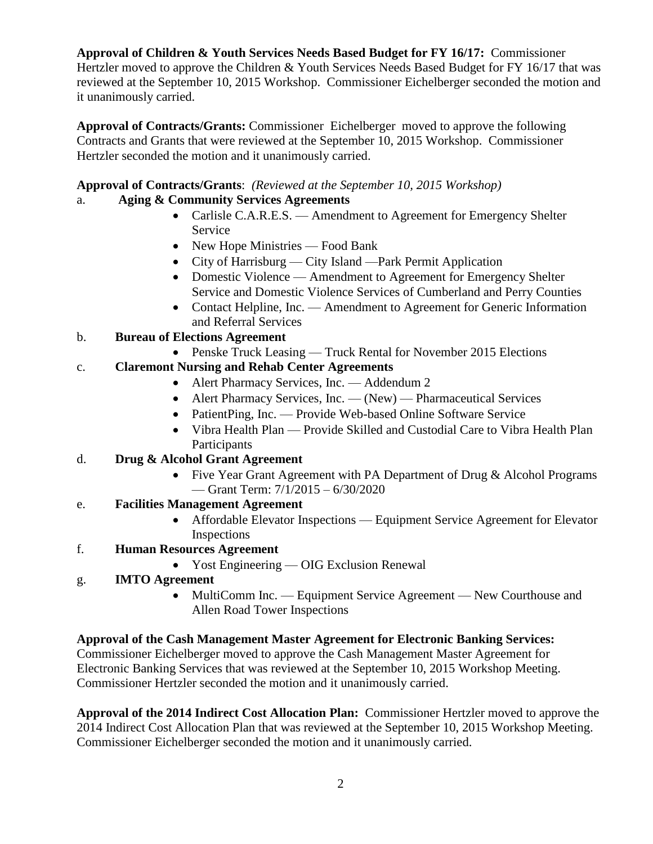**Approval of Children & Youth Services Needs Based Budget for FY 16/17:** Commissioner Hertzler moved to approve the Children & Youth Services Needs Based Budget for FY 16/17 that was reviewed at the September 10, 2015 Workshop. Commissioner Eichelberger seconded the motion and it unanimously carried.

**Approval of Contracts/Grants:** Commissioner Eichelberger moved to approve the following Contracts and Grants that were reviewed at the September 10, 2015 Workshop. Commissioner Hertzler seconded the motion and it unanimously carried.

## **Approval of Contracts/Grants**: *(Reviewed at the September 10, 2015 Workshop)*

# a. **Aging & Community Services Agreements**

- Carlisle C.A.R.E.S. Amendment to Agreement for Emergency Shelter Service
- New Hope Ministries Food Bank
- City of Harrisburg City Island —Park Permit Application
- Domestic Violence Amendment to Agreement for Emergency Shelter Service and Domestic Violence Services of Cumberland and Perry Counties
- Contact Helpline, Inc. Amendment to Agreement for Generic Information and Referral Services

### b. **Bureau of Elections Agreement**

• Penske Truck Leasing — Truck Rental for November 2015 Elections

# c. **Claremont Nursing and Rehab Center Agreements**

- Alert Pharmacy Services, Inc. Addendum 2
- Alert Pharmacy Services, Inc. (New) Pharmaceutical Services
- PatientPing, Inc. Provide Web-based Online Software Service
- Vibra Health Plan Provide Skilled and Custodial Care to Vibra Health Plan Participants

## d. **Drug & Alcohol Grant Agreement**

- Five Year Grant Agreement with PA Department of Drug & Alcohol Programs — Grant Term: 7/1/2015 – 6/30/2020
- e. **Facilities Management Agreement**
	- Affordable Elevator Inspections Equipment Service Agreement for Elevator Inspections
- f. **Human Resources Agreement**
	- Yost Engineering OIG Exclusion Renewal
- g. **IMTO Agreement** 
	- MultiComm Inc. Equipment Service Agreement New Courthouse and Allen Road Tower Inspections

# **Approval of the Cash Management Master Agreement for Electronic Banking Services:**

Commissioner Eichelberger moved to approve the Cash Management Master Agreement for Electronic Banking Services that was reviewed at the September 10, 2015 Workshop Meeting. Commissioner Hertzler seconded the motion and it unanimously carried.

**Approval of the 2014 Indirect Cost Allocation Plan:** Commissioner Hertzler moved to approve the 2014 Indirect Cost Allocation Plan that was reviewed at the September 10, 2015 Workshop Meeting. Commissioner Eichelberger seconded the motion and it unanimously carried.